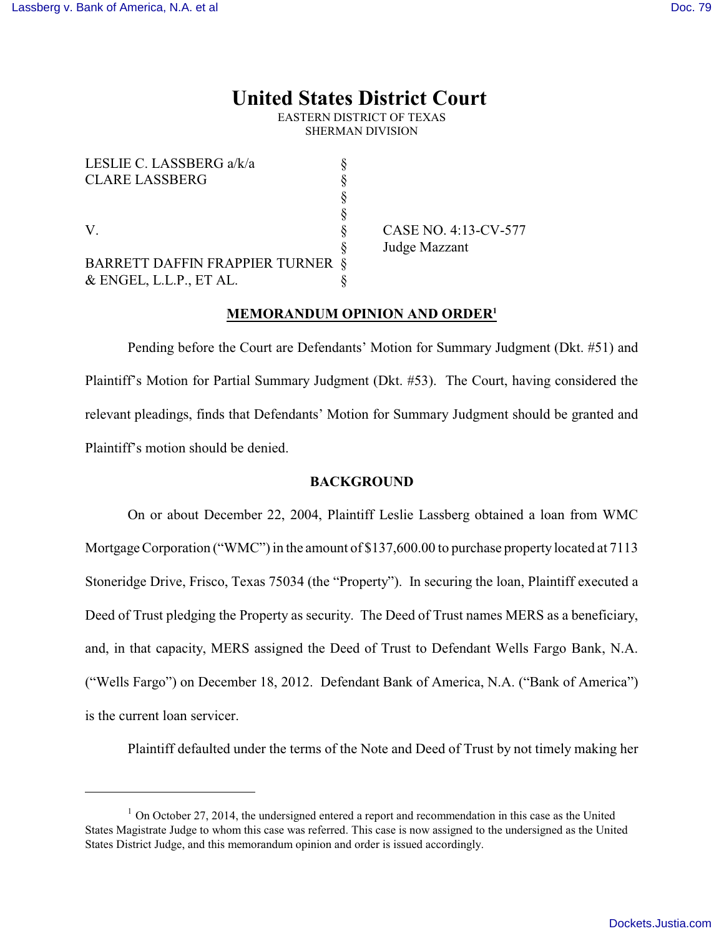# **United States District Court**

EASTERN DISTRICT OF TEXAS SHERMAN DIVISION

| LESLIE C. LASSBERG a/k/a                |  |
|-----------------------------------------|--|
| <b>CLARE LASSBERG</b>                   |  |
|                                         |  |
|                                         |  |
| V                                       |  |
|                                         |  |
| <b>BARRETT DAFFIN FRAPPIER TURNER §</b> |  |
| $&$ ENGEL, L.L.P., ET AL.               |  |

CASE NO. 4:13-CV-577 Judge Mazzant

# **MEMORANDUM OPINION AND ORDER<sup>1</sup>**

Pending before the Court are Defendants' Motion for Summary Judgment (Dkt. #51) and Plaintiff's Motion for Partial Summary Judgment (Dkt. #53). The Court, having considered the relevant pleadings, finds that Defendants' Motion for Summary Judgment should be granted and Plaintiff's motion should be denied.

## **BACKGROUND**

On or about December 22, 2004, Plaintiff Leslie Lassberg obtained a loan from WMC Mortgage Corporation ("WMC") in the amount of \$137,600.00 to purchase property located at 7113 Stoneridge Drive, Frisco, Texas 75034 (the "Property"). In securing the loan, Plaintiff executed a Deed of Trust pledging the Property as security. The Deed of Trust names MERS as a beneficiary, and, in that capacity, MERS assigned the Deed of Trust to Defendant Wells Fargo Bank, N.A. ("Wells Fargo") on December 18, 2012. Defendant Bank of America, N.A. ("Bank of America") is the current loan servicer.

Plaintiff defaulted under the terms of the Note and Deed of Trust by not timely making her

 $1$  On October 27, 2014, the undersigned entered a report and recommendation in this case as the United States Magistrate Judge to whom this case was referred. This case is now assigned to the undersigned as the United States District Judge, and this memorandum opinion and order is issued accordingly.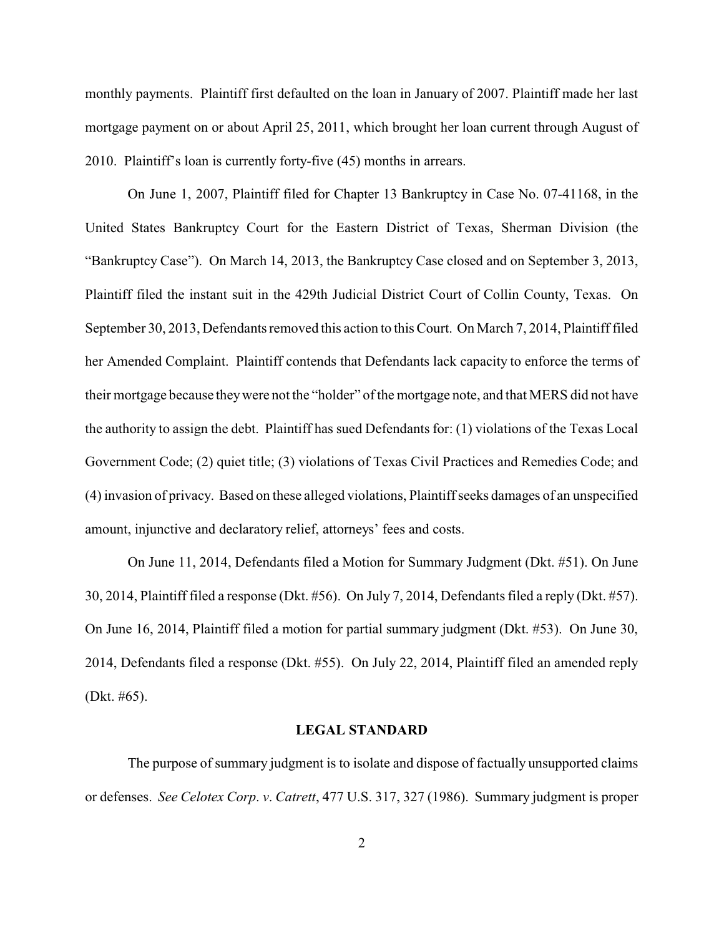monthly payments. Plaintiff first defaulted on the loan in January of 2007. Plaintiff made her last mortgage payment on or about April 25, 2011, which brought her loan current through August of 2010. Plaintiff's loan is currently forty-five (45) months in arrears.

On June 1, 2007, Plaintiff filed for Chapter 13 Bankruptcy in Case No. 07-41168, in the United States Bankruptcy Court for the Eastern District of Texas, Sherman Division (the "Bankruptcy Case"). On March 14, 2013, the Bankruptcy Case closed and on September 3, 2013, Plaintiff filed the instant suit in the 429th Judicial District Court of Collin County, Texas. On September 30, 2013, Defendants removed this action to this Court. On March 7, 2014, Plaintiff filed her Amended Complaint. Plaintiff contends that Defendants lack capacity to enforce the terms of their mortgage because they were not the "holder" of the mortgage note, and that MERS did not have the authority to assign the debt. Plaintiff has sued Defendants for: (1) violations of the Texas Local Government Code; (2) quiet title; (3) violations of Texas Civil Practices and Remedies Code; and (4) invasion of privacy. Based on these alleged violations, Plaintiff seeks damages of an unspecified amount, injunctive and declaratory relief, attorneys' fees and costs.

On June 11, 2014, Defendants filed a Motion for Summary Judgment (Dkt. #51). On June 30, 2014, Plaintiff filed a response (Dkt. #56). On July 7, 2014, Defendants filed a reply (Dkt. #57). On June 16, 2014, Plaintiff filed a motion for partial summary judgment (Dkt. #53). On June 30, 2014, Defendants filed a response (Dkt. #55). On July 22, 2014, Plaintiff filed an amended reply (Dkt. #65).

# **LEGAL STANDARD**

The purpose of summary judgment is to isolate and dispose of factually unsupported claims or defenses. *See Celotex Corp*. *v*. *Catrett*, 477 U.S. 317, 327 (1986). Summary judgment is proper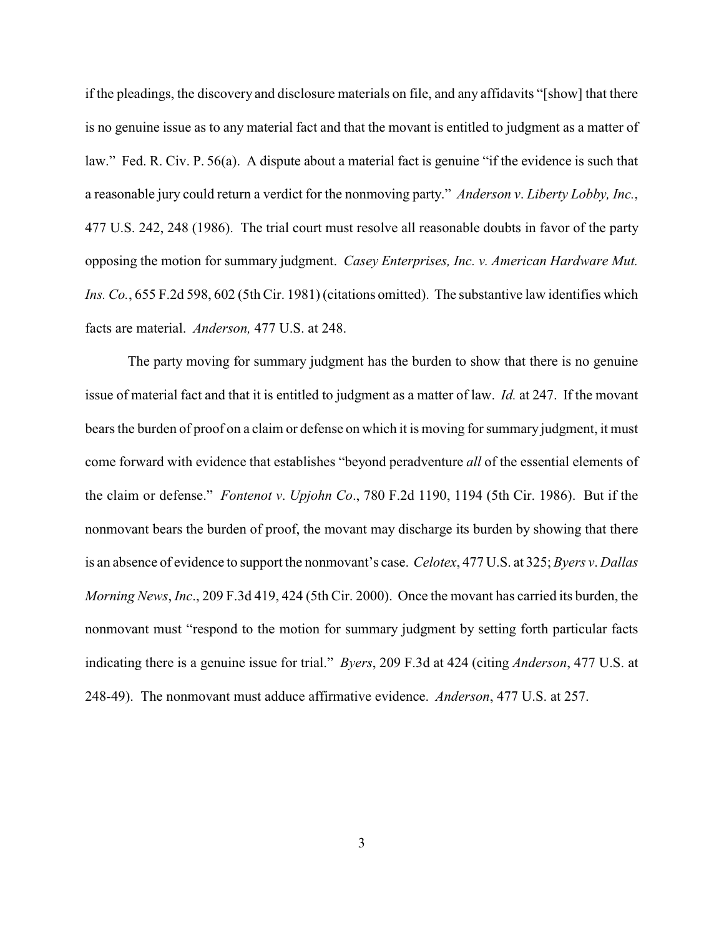if the pleadings, the discovery and disclosure materials on file, and any affidavits "[show] that there is no genuine issue as to any material fact and that the movant is entitled to judgment as a matter of law." Fed. R. Civ. P. 56(a). A dispute about a material fact is genuine "if the evidence is such that a reasonable jury could return a verdict for the nonmoving party." *Anderson v*. *Liberty Lobby, Inc.*, 477 U.S. 242, 248 (1986). The trial court must resolve all reasonable doubts in favor of the party opposing the motion for summary judgment. *Casey Enterprises, Inc. v. American Hardware Mut. Ins. Co.*, 655 F.2d 598, 602 (5th Cir. 1981) (citations omitted). The substantive law identifies which facts are material. *Anderson,* 477 U.S. at 248.

The party moving for summary judgment has the burden to show that there is no genuine issue of material fact and that it is entitled to judgment as a matter of law. *Id.* at 247. If the movant bears the burden of proof on a claim or defense on which it is moving for summary judgment, it must come forward with evidence that establishes "beyond peradventure *all* of the essential elements of the claim or defense." *Fontenot v*. *Upjohn Co*., 780 F.2d 1190, 1194 (5th Cir. 1986). But if the nonmovant bears the burden of proof, the movant may discharge its burden by showing that there is an absence of evidence to support the nonmovant's case. *Celotex*, 477 U.S. at 325; *Byers v*. *Dallas Morning News*, *Inc*., 209 F.3d 419, 424 (5th Cir. 2000). Once the movant has carried its burden, the nonmovant must "respond to the motion for summary judgment by setting forth particular facts indicating there is a genuine issue for trial." *Byers*, 209 F.3d at 424 (citing *Anderson*, 477 U.S. at 248-49). The nonmovant must adduce affirmative evidence. *Anderson*, 477 U.S. at 257.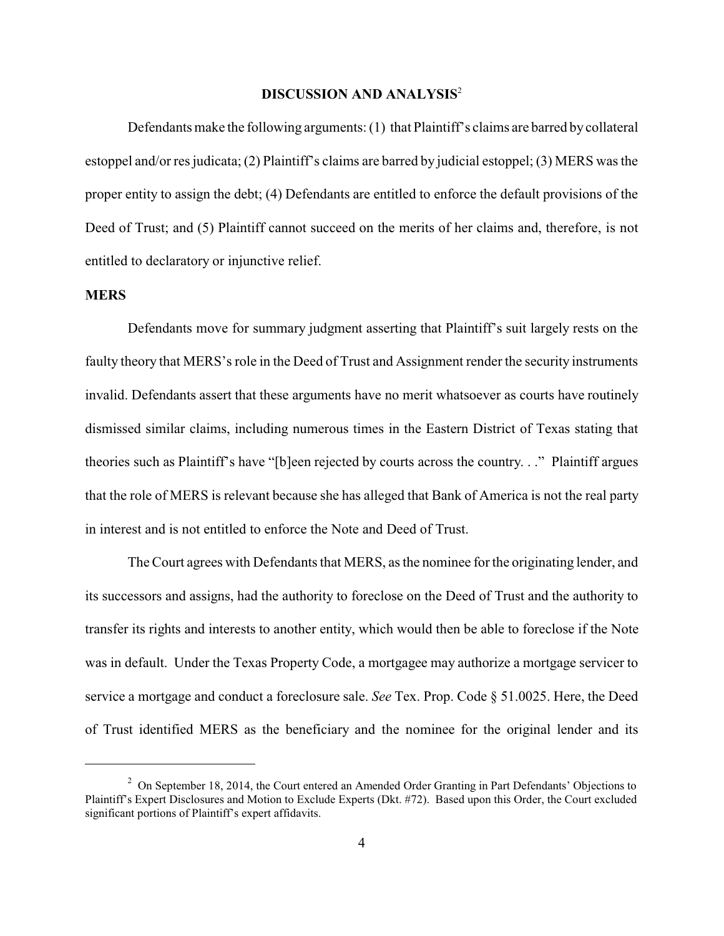# **DISCUSSION AND ANALYSIS**<sup>2</sup>

Defendants make the following arguments: (1) that Plaintiff's claims are barred by collateral estoppel and/or res judicata; (2) Plaintiff's claims are barred by judicial estoppel; (3) MERS was the proper entity to assign the debt; (4) Defendants are entitled to enforce the default provisions of the Deed of Trust; and (5) Plaintiff cannot succeed on the merits of her claims and, therefore, is not entitled to declaratory or injunctive relief.

#### **MERS**

Defendants move for summary judgment asserting that Plaintiff's suit largely rests on the faulty theory that MERS's role in the Deed of Trust and Assignment render the security instruments invalid. Defendants assert that these arguments have no merit whatsoever as courts have routinely dismissed similar claims, including numerous times in the Eastern District of Texas stating that theories such as Plaintiff's have "[b]een rejected by courts across the country. . ." Plaintiff argues that the role of MERS is relevant because she has alleged that Bank of America is not the real party in interest and is not entitled to enforce the Note and Deed of Trust.

The Court agrees with Defendants that MERS, as the nominee for the originating lender, and its successors and assigns, had the authority to foreclose on the Deed of Trust and the authority to transfer its rights and interests to another entity, which would then be able to foreclose if the Note was in default. Under the Texas Property Code, a mortgagee may authorize a mortgage servicer to service a mortgage and conduct a foreclosure sale. *See* Tex. Prop. Code § 51.0025. Here, the Deed of Trust identified MERS as the beneficiary and the nominee for the original lender and its

 $2$  On September 18, 2014, the Court entered an Amended Order Granting in Part Defendants' Objections to Plaintiff's Expert Disclosures and Motion to Exclude Experts (Dkt. #72). Based upon this Order, the Court excluded significant portions of Plaintiff's expert affidavits.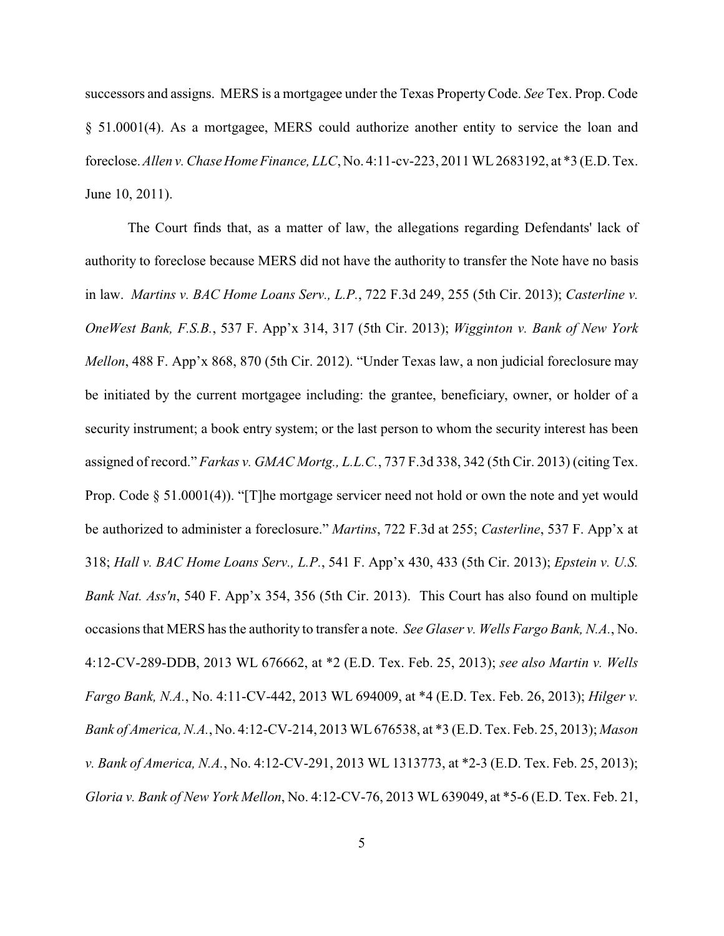successors and assigns. MERS is a mortgagee under the Texas Property Code. *See* Tex. Prop. Code § 51.0001(4). As a mortgagee, MERS could authorize another entity to service the loan and foreclose. *Allen v. Chase Home Finance, LLC*, No. 4:11-cv-223, 2011 WL 2683192, at \*3 (E.D. Tex. June 10, 2011).

The Court finds that, as a matter of law, the allegations regarding Defendants' lack of authority to foreclose because MERS did not have the authority to transfer the Note have no basis in law. *Martins v. BAC Home Loans Serv., L.P.*, 722 F.3d 249, 255 (5th Cir. 2013); *Casterline v. OneWest Bank, F.S.B.*, 537 F. App'x 314, 317 (5th Cir. 2013); *Wigginton v. Bank of New York Mellon*, 488 F. App'x 868, 870 (5th Cir. 2012). "Under Texas law, a non judicial foreclosure may be initiated by the current mortgagee including: the grantee, beneficiary, owner, or holder of a security instrument; a book entry system; or the last person to whom the security interest has been assigned of record." *Farkas v. GMAC Mortg., L.L.C.*, 737 F.3d 338, 342 (5th Cir. 2013) (citing Tex. Prop. Code  $\S$  51.0001(4)). "[T]he mortgage servicer need not hold or own the note and yet would be authorized to administer a foreclosure." *Martins*, 722 F.3d at 255; *Casterline*, 537 F. App'x at 318; *Hall v. BAC Home Loans Serv., L.P.*, 541 F. App'x 430, 433 (5th Cir. 2013); *Epstein v. U.S. Bank Nat. Ass'n*, 540 F. App'x 354, 356 (5th Cir. 2013). This Court has also found on multiple occasions that MERS has the authority to transfer a note. *See Glaser v. Wells Fargo Bank, N.A.*, No. 4:12-CV-289-DDB, 2013 WL 676662, at \*2 (E.D. Tex. Feb. 25, 2013); *see also Martin v. Wells Fargo Bank, N.A.*, No. 4:11-CV-442, 2013 WL 694009, at \*4 (E.D. Tex. Feb. 26, 2013); *Hilger v. Bank of America, N.A.*, No. 4:12-CV-214, 2013 WL 676538, at \*3 (E.D. Tex. Feb. 25, 2013); *Mason v. Bank of America, N.A.*, No. 4:12-CV-291, 2013 WL 1313773, at \*2-3 (E.D. Tex. Feb. 25, 2013); *Gloria v. Bank of New York Mellon*, No. 4:12-CV-76, 2013 WL 639049, at \*5-6 (E.D. Tex. Feb. 21,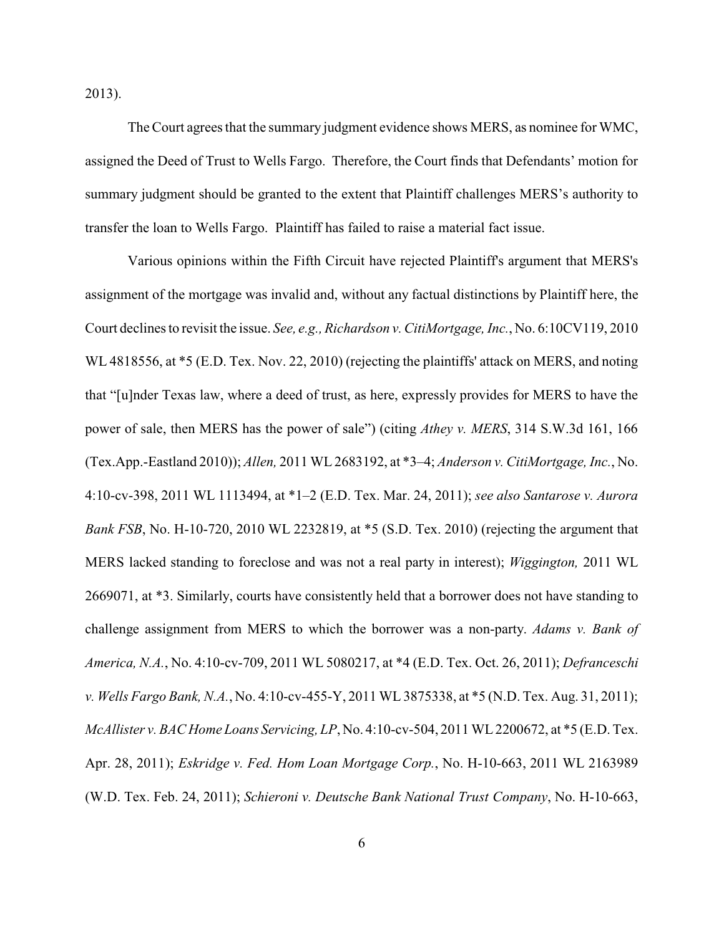2013).

The Court agrees that the summary judgment evidence shows MERS, as nominee for WMC, assigned the Deed of Trust to Wells Fargo. Therefore, the Court finds that Defendants' motion for summary judgment should be granted to the extent that Plaintiff challenges MERS's authority to transfer the loan to Wells Fargo. Plaintiff has failed to raise a material fact issue.

Various opinions within the Fifth Circuit have rejected Plaintiff's argument that MERS's assignment of the mortgage was invalid and, without any factual distinctions by Plaintiff here, the Court declines to revisit the issue. *See, e.g., Richardson v. CitiMortgage, Inc.*, No. 6:10CV119, 2010 WL 4818556, at \*5 (E.D. Tex. Nov. 22, 2010) (rejecting the plaintiffs' attack on MERS, and noting that "[u]nder Texas law, where a deed of trust, as here, expressly provides for MERS to have the power of sale, then MERS has the power of sale") (citing *Athey v. MERS*, 314 S.W.3d 161, 166 (Tex.App.-Eastland 2010)); *Allen,* 2011 WL 2683192, at \*3–4; *Anderson v. CitiMortgage, Inc.*, No. 4:10-cv-398, 2011 WL 1113494, at \*1–2 (E.D. Tex. Mar. 24, 2011); *see also Santarose v. Aurora Bank FSB*, No. H-10-720, 2010 WL 2232819, at \*5 (S.D. Tex. 2010) (rejecting the argument that MERS lacked standing to foreclose and was not a real party in interest); *Wiggington,* 2011 WL 2669071, at \*3. Similarly, courts have consistently held that a borrower does not have standing to challenge assignment from MERS to which the borrower was a non-party. *Adams v. Bank of America, N.A.*, No. 4:10-cv-709, 2011 WL 5080217, at \*4 (E.D. Tex. Oct. 26, 2011); *Defranceschi v. Wells Fargo Bank, N.A.*, No. 4:10-cv-455-Y, 2011 WL 3875338, at \*5 (N.D. Tex. Aug. 31, 2011); *McAllister v. BAC Home Loans Servicing, LP*, No. 4:10-cv-504, 2011 WL 2200672, at \*5 (E.D. Tex. Apr. 28, 2011); *Eskridge v. Fed. Hom Loan Mortgage Corp.*, No. H-10-663, 2011 WL 2163989 (W.D. Tex. Feb. 24, 2011); *Schieroni v. Deutsche Bank National Trust Company*, No. H-10-663,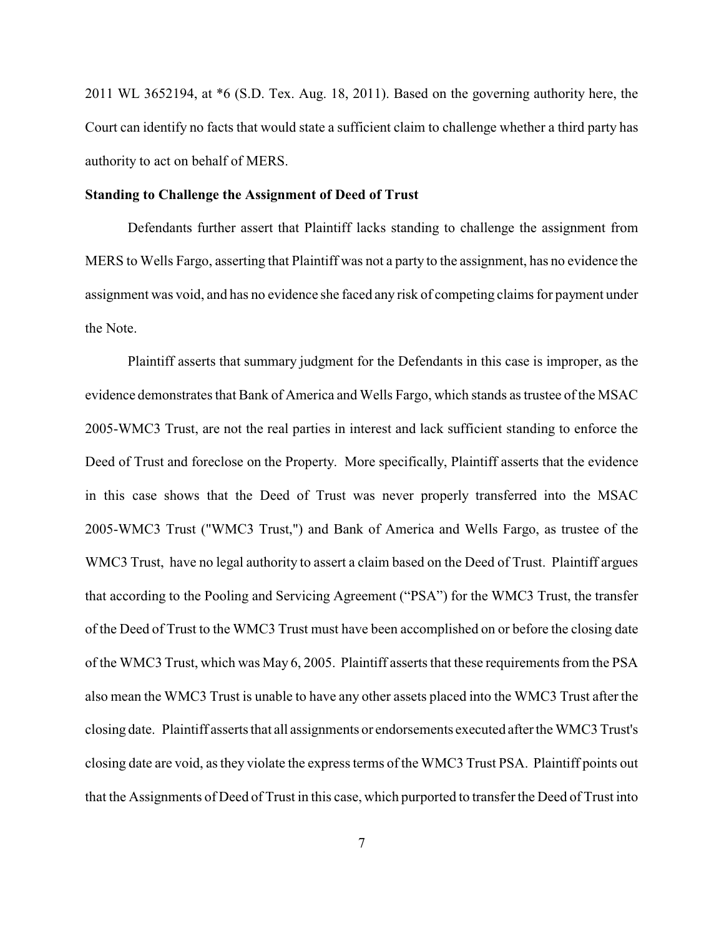2011 WL 3652194, at \*6 (S.D. Tex. Aug. 18, 2011). Based on the governing authority here, the Court can identify no facts that would state a sufficient claim to challenge whether a third party has authority to act on behalf of MERS.

# **Standing to Challenge the Assignment of Deed of Trust**

Defendants further assert that Plaintiff lacks standing to challenge the assignment from MERS to Wells Fargo, asserting that Plaintiff was not a party to the assignment, has no evidence the assignment was void, and has no evidence she faced any risk of competing claims for payment under the Note.

Plaintiff asserts that summary judgment for the Defendants in this case is improper, as the evidence demonstrates that Bank of America and Wells Fargo, which stands as trustee of the MSAC 2005-WMC3 Trust, are not the real parties in interest and lack sufficient standing to enforce the Deed of Trust and foreclose on the Property. More specifically, Plaintiff asserts that the evidence in this case shows that the Deed of Trust was never properly transferred into the MSAC 2005-WMC3 Trust ("WMC3 Trust,") and Bank of America and Wells Fargo, as trustee of the WMC3 Trust, have no legal authority to assert a claim based on the Deed of Trust. Plaintiff argues that according to the Pooling and Servicing Agreement ("PSA") for the WMC3 Trust, the transfer of the Deed of Trust to the WMC3 Trust must have been accomplished on or before the closing date of the WMC3 Trust, which was May 6, 2005. Plaintiff asserts that these requirements from the PSA also mean the WMC3 Trust is unable to have any other assets placed into the WMC3 Trust after the closing date. Plaintiff asserts that all assignments or endorsements executed after the WMC3 Trust's closing date are void, as they violate the express terms of the WMC3 Trust PSA. Plaintiff points out that the Assignments of Deed of Trust in this case, which purported to transfer the Deed of Trust into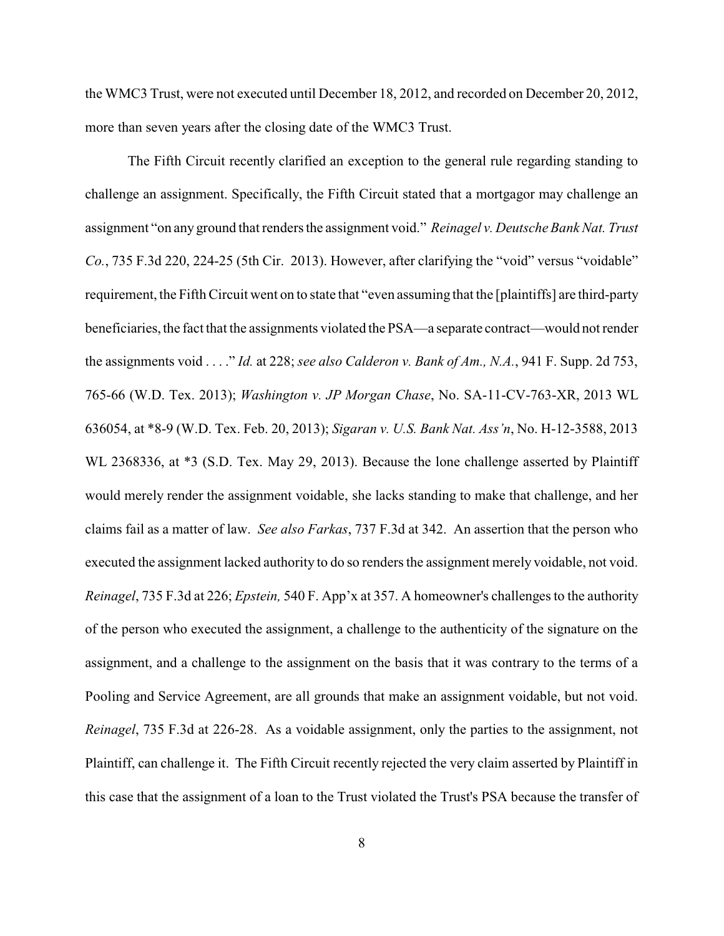the WMC3 Trust, were not executed until December 18, 2012, and recorded on December 20, 2012, more than seven years after the closing date of the WMC3 Trust.

The Fifth Circuit recently clarified an exception to the general rule regarding standing to challenge an assignment. Specifically, the Fifth Circuit stated that a mortgagor may challenge an assignment "on any ground that renders the assignment void." *Reinagel v. Deutsche Bank Nat. Trust Co.*, 735 F.3d 220, 224-25 (5th Cir. 2013). However, after clarifying the "void" versus "voidable" requirement, the Fifth Circuit went on to state that "even assuming that the [plaintiffs] are third-party beneficiaries, the fact that the assignments violated the PSA—a separate contract—would not render the assignments void . . . ." *Id.* at 228; *see also Calderon v. Bank of Am., N.A.*, 941 F. Supp. 2d 753, 765-66 (W.D. Tex. 2013); *Washington v. JP Morgan Chase*, No. SA-11-CV-763-XR, 2013 WL 636054, at \*8-9 (W.D. Tex. Feb. 20, 2013); *Sigaran v. U.S. Bank Nat. Ass'n*, No. H-12-3588, 2013 WL 2368336, at  $*3$  (S.D. Tex. May 29, 2013). Because the lone challenge asserted by Plaintiff would merely render the assignment voidable, she lacks standing to make that challenge, and her claims fail as a matter of law. *See also Farkas*, 737 F.3d at 342. An assertion that the person who executed the assignment lacked authority to do so renders the assignment merely voidable, not void. *Reinagel*, 735 F.3d at 226; *Epstein,* 540 F. App'x at 357. A homeowner's challenges to the authority of the person who executed the assignment, a challenge to the authenticity of the signature on the assignment, and a challenge to the assignment on the basis that it was contrary to the terms of a Pooling and Service Agreement, are all grounds that make an assignment voidable, but not void. *Reinagel*, 735 F.3d at 226-28. As a voidable assignment, only the parties to the assignment, not Plaintiff, can challenge it. The Fifth Circuit recently rejected the very claim asserted by Plaintiff in this case that the assignment of a loan to the Trust violated the Trust's PSA because the transfer of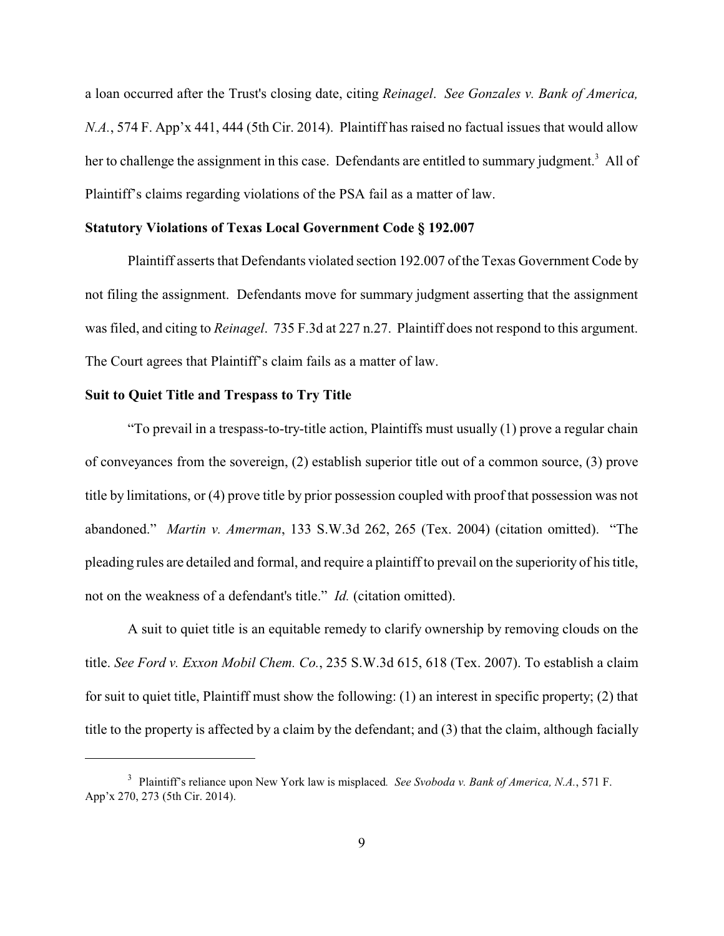a loan occurred after the Trust's closing date, citing *Reinagel*. *See Gonzales v. Bank of America, N.A.*, 574 F. App'x 441, 444 (5th Cir. 2014). Plaintiff has raised no factual issues that would allow her to challenge the assignment in this case. Defendants are entitled to summary judgment.<sup>3</sup> All of Plaintiff's claims regarding violations of the PSA fail as a matter of law.

#### **Statutory Violations of Texas Local Government Code § 192.007**

Plaintiff asserts that Defendants violated section 192.007 of the Texas Government Code by not filing the assignment. Defendants move for summary judgment asserting that the assignment was filed, and citing to *Reinagel*. 735 F.3d at 227 n.27. Plaintiff does not respond to this argument. The Court agrees that Plaintiff's claim fails as a matter of law.

## **Suit to Quiet Title and Trespass to Try Title**

"To prevail in a trespass-to-try-title action, Plaintiffs must usually (1) prove a regular chain of conveyances from the sovereign, (2) establish superior title out of a common source, (3) prove title by limitations, or (4) prove title by prior possession coupled with proof that possession was not abandoned." *Martin v. Amerman*, 133 S.W.3d 262, 265 (Tex. 2004) (citation omitted). "The pleading rules are detailed and formal, and require a plaintiff to prevail on the superiority of his title, not on the weakness of a defendant's title." *Id.* (citation omitted).

A suit to quiet title is an equitable remedy to clarify ownership by removing clouds on the title. *See Ford v. Exxon Mobil Chem. Co.*, 235 S.W.3d 615, 618 (Tex. 2007). To establish a claim for suit to quiet title, Plaintiff must show the following: (1) an interest in specific property; (2) that title to the property is affected by a claim by the defendant; and (3) that the claim, although facially

<sup>3</sup> Plaintiff's reliance upon New York law is misplaced*. See Svoboda v. Bank of America, N.A.*, 571 F. App'x 270, 273 (5th Cir. 2014).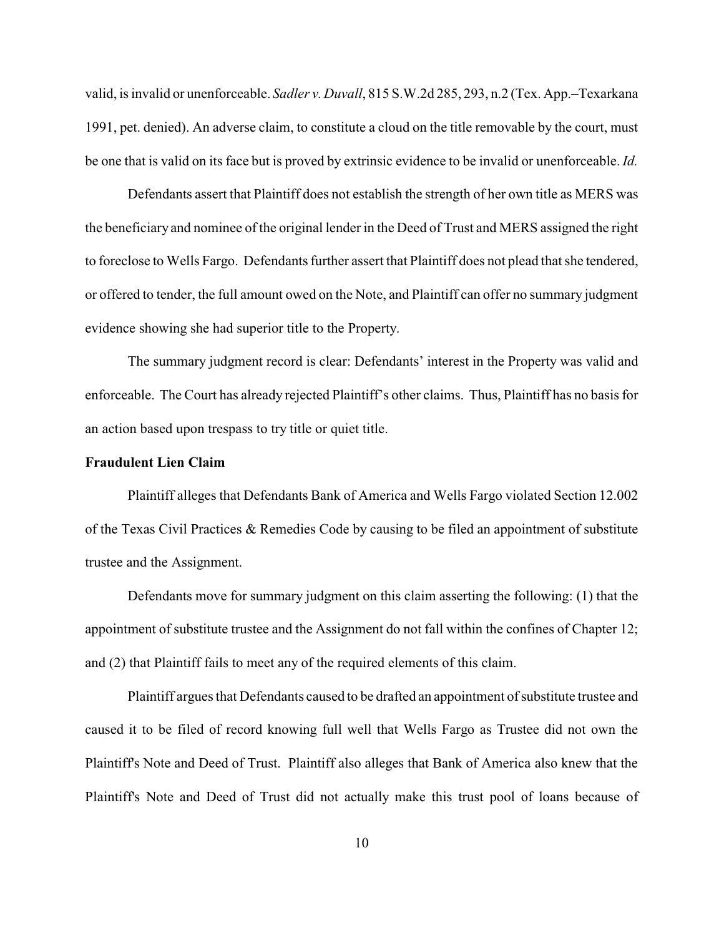valid, is invalid or unenforceable. *Sadler v. Duvall*, 815 S.W.2d 285, 293, n.2 (Tex. App.–Texarkana 1991, pet. denied). An adverse claim, to constitute a cloud on the title removable by the court, must be one that is valid on its face but is proved by extrinsic evidence to be invalid or unenforceable. *Id.*

Defendants assert that Plaintiff does not establish the strength of her own title as MERS was the beneficiary and nominee of the original lender in the Deed of Trust and MERS assigned the right to foreclose to Wells Fargo. Defendants further assert that Plaintiff does not plead that she tendered, or offered to tender, the full amount owed on the Note, and Plaintiff can offer no summary judgment evidence showing she had superior title to the Property.

The summary judgment record is clear: Defendants' interest in the Property was valid and enforceable. The Court has already rejected Plaintiff's other claims. Thus, Plaintiff has no basis for an action based upon trespass to try title or quiet title.

# **Fraudulent Lien Claim**

Plaintiff alleges that Defendants Bank of America and Wells Fargo violated Section 12.002 of the Texas Civil Practices & Remedies Code by causing to be filed an appointment of substitute trustee and the Assignment.

Defendants move for summary judgment on this claim asserting the following: (1) that the appointment of substitute trustee and the Assignment do not fall within the confines of Chapter 12; and (2) that Plaintiff fails to meet any of the required elements of this claim.

Plaintiff argues that Defendants caused to be drafted an appointment of substitute trustee and caused it to be filed of record knowing full well that Wells Fargo as Trustee did not own the Plaintiff's Note and Deed of Trust. Plaintiff also alleges that Bank of America also knew that the Plaintiff's Note and Deed of Trust did not actually make this trust pool of loans because of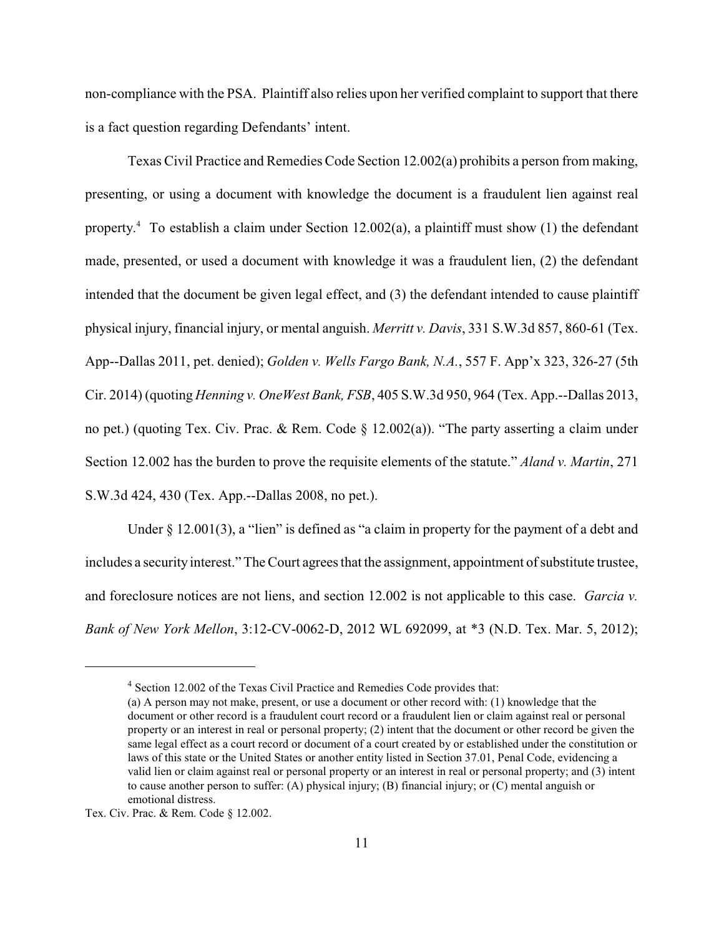non-compliance with the PSA. Plaintiff also relies upon her verified complaint to support that there is a fact question regarding Defendants' intent.

Texas Civil Practice and Remedies Code Section 12.002(a) prohibits a person from making, presenting, or using a document with knowledge the document is a fraudulent lien against real property.<sup>4</sup> To establish a claim under Section 12.002(a), a plaintiff must show (1) the defendant made, presented, or used a document with knowledge it was a fraudulent lien, (2) the defendant intended that the document be given legal effect, and (3) the defendant intended to cause plaintiff physical injury, financial injury, or mental anguish. *Merritt v. Davis*, 331 S.W.3d 857, 860-61 (Tex. App--Dallas 2011, pet. denied); *Golden v. Wells Fargo Bank, N.A.*, 557 F. App'x 323, 326-27 (5th Cir. 2014) (quoting *Henning v. OneWest Bank, FSB*, 405 S.W.3d 950, 964 (Tex. App.--Dallas 2013, no pet.) (quoting Tex. Civ. Prac. & Rem. Code § 12.002(a)). "The party asserting a claim under Section 12.002 has the burden to prove the requisite elements of the statute." *Aland v. Martin*, 271 S.W.3d 424, 430 (Tex. App.--Dallas 2008, no pet.).

Under § 12.001(3), a "lien" is defined as "a claim in property for the payment of a debt and includes a security interest." The Court agrees that the assignment, appointment of substitute trustee, and foreclosure notices are not liens, and section 12.002 is not applicable to this case. *Garcia v. Bank of New York Mellon*, 3:12-CV-0062-D, 2012 WL 692099, at \*3 (N.D. Tex. Mar. 5, 2012);

<sup>&</sup>lt;sup>4</sup> Section 12.002 of the Texas Civil Practice and Remedies Code provides that:

<sup>(</sup>a) A person may not make, present, or use a document or other record with: (1) knowledge that the document or other record is a fraudulent court record or a fraudulent lien or claim against real or personal property or an interest in real or personal property; (2) intent that the document or other record be given the same legal effect as a court record or document of a court created by or established under the constitution or laws of this state or the United States or another entity listed in Section 37.01, Penal Code, evidencing a valid lien or claim against real or personal property or an interest in real or personal property; and (3) intent to cause another person to suffer: (A) physical injury; (B) financial injury; or (C) mental anguish or emotional distress.

Tex. Civ. Prac. & Rem. Code § 12.002.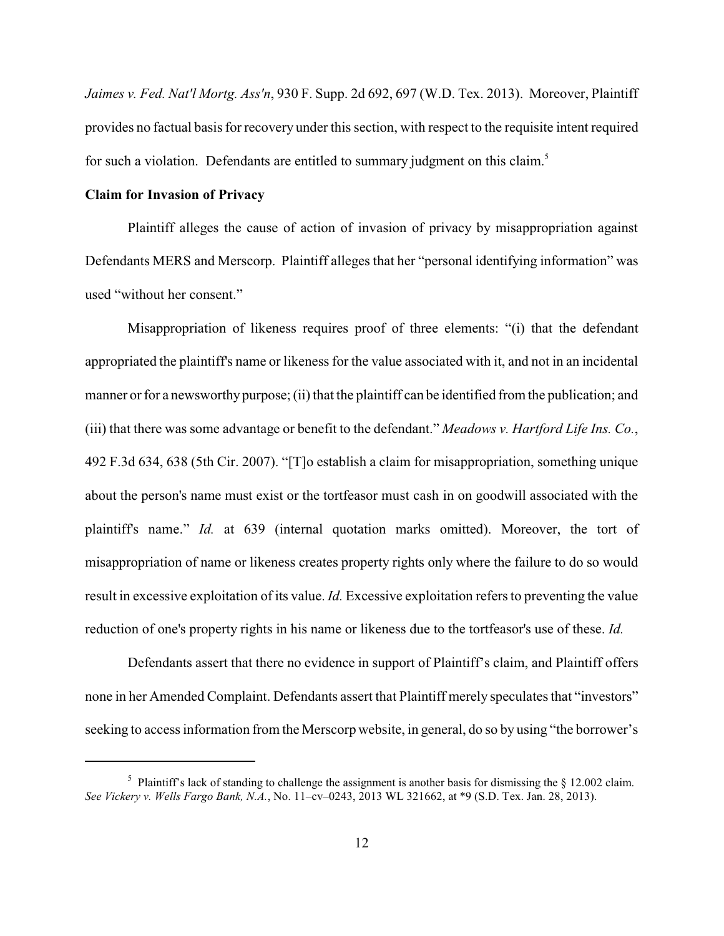*Jaimes v. Fed. Nat'l Mortg. Ass'n*, 930 F. Supp. 2d 692, 697 (W.D. Tex. 2013). Moreover, Plaintiff provides no factual basis for recovery under this section, with respect to the requisite intent required for such a violation. Defendants are entitled to summary judgment on this claim.<sup>5</sup>

## **Claim for Invasion of Privacy**

Plaintiff alleges the cause of action of invasion of privacy by misappropriation against Defendants MERS and Merscorp. Plaintiff alleges that her "personal identifying information" was used "without her consent."

Misappropriation of likeness requires proof of three elements: "(i) that the defendant appropriated the plaintiff's name or likeness for the value associated with it, and not in an incidental manner or for a newsworthy purpose; (ii) that the plaintiff can be identified from the publication; and (iii) that there was some advantage or benefit to the defendant." *Meadows v. Hartford Life Ins. Co.*, 492 F.3d 634, 638 (5th Cir. 2007). "[T]o establish a claim for misappropriation, something unique about the person's name must exist or the tortfeasor must cash in on goodwill associated with the plaintiff's name." *Id.* at 639 (internal quotation marks omitted). Moreover, the tort of misappropriation of name or likeness creates property rights only where the failure to do so would result in excessive exploitation of its value. *Id.* Excessive exploitation refers to preventing the value reduction of one's property rights in his name or likeness due to the tortfeasor's use of these. *Id.*

Defendants assert that there no evidence in support of Plaintiff's claim, and Plaintiff offers none in her Amended Complaint. Defendants assert that Plaintiff merely speculates that "investors" seeking to access information from the Merscorp website, in general, do so by using "the borrower's

<sup>&</sup>lt;sup>5</sup> Plaintiff's lack of standing to challenge the assignment is another basis for dismissing the  $\S$  12.002 claim. *See Vickery v. Wells Fargo Bank, N.A.*, No. 11–cv–0243, 2013 WL 321662, at \*9 (S.D. Tex. Jan. 28, 2013).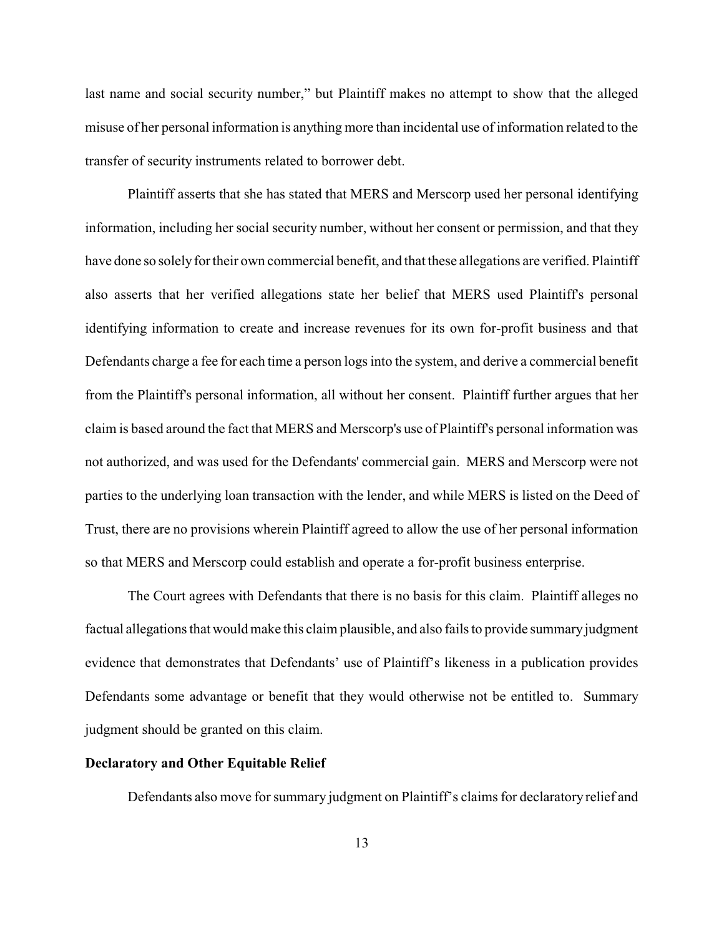last name and social security number," but Plaintiff makes no attempt to show that the alleged misuse of her personal information is anything more than incidental use of information related to the transfer of security instruments related to borrower debt.

Plaintiff asserts that she has stated that MERS and Merscorp used her personal identifying information, including her social security number, without her consent or permission, and that they have done so solely for their own commercial benefit, and that these allegations are verified. Plaintiff also asserts that her verified allegations state her belief that MERS used Plaintiff's personal identifying information to create and increase revenues for its own for-profit business and that Defendants charge a fee for each time a person logs into the system, and derive a commercial benefit from the Plaintiff's personal information, all without her consent. Plaintiff further argues that her claim is based around the fact that MERS and Merscorp's use of Plaintiff's personal information was not authorized, and was used for the Defendants' commercial gain. MERS and Merscorp were not parties to the underlying loan transaction with the lender, and while MERS is listed on the Deed of Trust, there are no provisions wherein Plaintiff agreed to allow the use of her personal information so that MERS and Merscorp could establish and operate a for-profit business enterprise.

The Court agrees with Defendants that there is no basis for this claim. Plaintiff alleges no factual allegations that would make this claim plausible, and also fails to provide summary judgment evidence that demonstrates that Defendants' use of Plaintiff's likeness in a publication provides Defendants some advantage or benefit that they would otherwise not be entitled to. Summary judgment should be granted on this claim.

## **Declaratory and Other Equitable Relief**

Defendants also move for summary judgment on Plaintiff's claims for declaratory relief and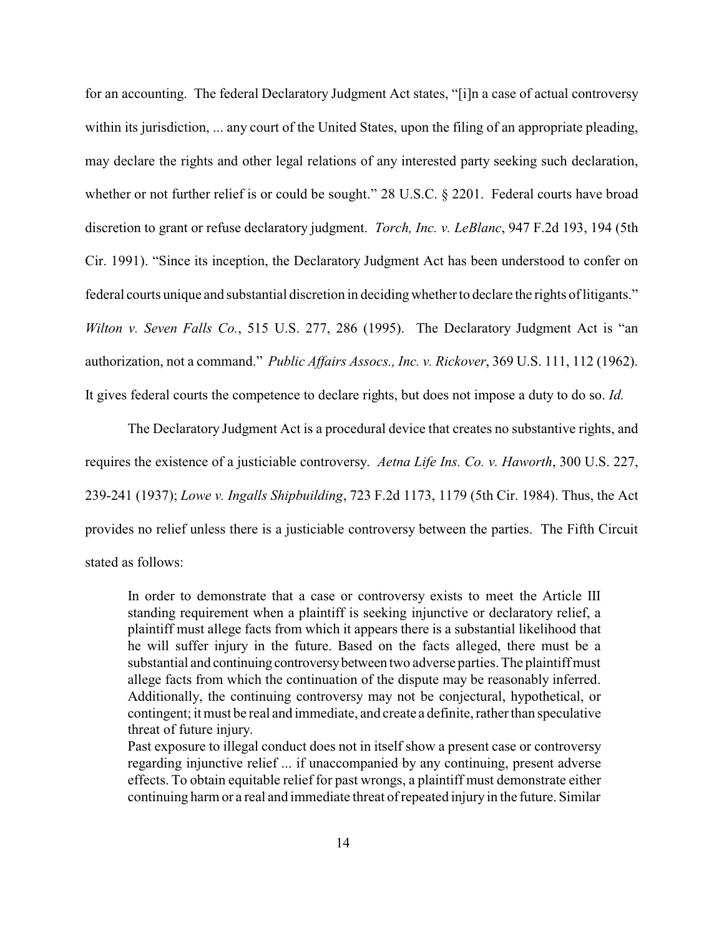for an accounting. The federal Declaratory Judgment Act states, "[i]n a case of actual controversy within its jurisdiction, ... any court of the United States, upon the filing of an appropriate pleading, may declare the rights and other legal relations of any interested party seeking such declaration, whether or not further relief is or could be sought." 28 U.S.C. § 2201. Federal courts have broad discretion to grant or refuse declaratory judgment. *Torch, Inc. v. LeBlanc*, 947 F.2d 193, 194 (5th Cir. 1991). "Since its inception, the Declaratory Judgment Act has been understood to confer on federal courts unique and substantial discretion in deciding whether to declare the rights of litigants." *Wilton v. Seven Falls Co.*, 515 U.S. 277, 286 (1995). The Declaratory Judgment Act is "an authorization, not a command." *Public Affairs Assocs., Inc. v. Rickover*, 369 U.S. 111, 112 (1962).

It gives federal courts the competence to declare rights, but does not impose a duty to do so. *Id.*

The Declaratory Judgment Act is a procedural device that creates no substantive rights, and requires the existence of a justiciable controversy. *Aetna Life Ins. Co. v. Haworth*, 300 U.S. 227, 239-241 (1937); *Lowe v. Ingalls Shipbuilding*, 723 F.2d 1173, 1179 (5th Cir. 1984). Thus, the Act provides no relief unless there is a justiciable controversy between the parties. The Fifth Circuit stated as follows:

In order to demonstrate that a case or controversy exists to meet the Article III standing requirement when a plaintiff is seeking injunctive or declaratory relief, a plaintiff must allege facts from which it appears there is a substantial likelihood that he will suffer injury in the future. Based on the facts alleged, there must be a substantial and continuing controversy between two adverse parties. The plaintiff must allege facts from which the continuation of the dispute may be reasonably inferred. Additionally, the continuing controversy may not be conjectural, hypothetical, or contingent; it must be real and immediate, and create a definite, rather than speculative threat of future injury.

Past exposure to illegal conduct does not in itself show a present case or controversy regarding injunctive relief ... if unaccompanied by any continuing, present adverse effects. To obtain equitable relief for past wrongs, a plaintiff must demonstrate either continuing harm or a real and immediate threat of repeated injury in the future. Similar